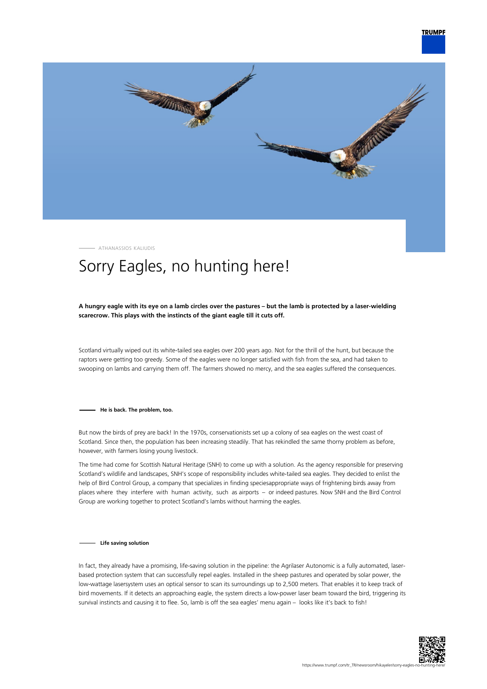

ATHANASSIOS KALIUDIS

## Sorry Eagles, no hunting here!

## **A hungry eagle with its eye on a lamb circles over the pastures – but the lamb is protected by a laser-wielding scarecrow. This plays with the instincts of the giant eagle till it cuts off.**

Scotland virtually wiped out its white-tailed sea eagles over 200 years ago. Not for the thrill of the hunt, but because the raptors were getting too greedy. Some of the eagles were no longer satisfied with fish from the sea, and had taken to swooping on lambs and carrying them off. The farmers showed no mercy, and the sea eagles suffered the consequences.

**He is back. The problem, too.**

But now the birds of prey are back! In the 1970s, conservationists set up a colony of sea eagles on the west coast of Scotland. Since then, the population has been increasing steadily. That has rekindled the same thorny problem as before, however, with farmers losing young livestock.

The time had come for Scottish Natural Heritage (SNH) to come up with a solution. As the agency responsible for preserving Scotland's wildlife and landscapes, SNH's scope of responsibility includes white-tailed sea eagles. They decided to enlist the help of Bird Control Group, a company that specializes in finding speciesappropriate ways of frightening birds away from places where they interfere with human activity, such as airports – or indeed pastures. Now SNH and the Bird Control Group are working together to protect Scotland's lambs without harming the eagles.

## **Life saving solution**

In fact, they already have a promising, life-saving solution in the pipeline: the Agrilaser Autonomic is a fully automated, laserbased protection system that can successfully repel eagles. Installed in the sheep pastures and operated by solar power, the low-wattage lasersystem uses an optical sensor to scan its surroundings up to 2,500 meters. That enables it to keep track of bird movements. If it detects an approaching eagle, the system directs a low-power laser beam toward the bird, triggering its survival instincts and causing it to flee. So, lamb is off the sea eagles' menu again – looks like it's back to fish!